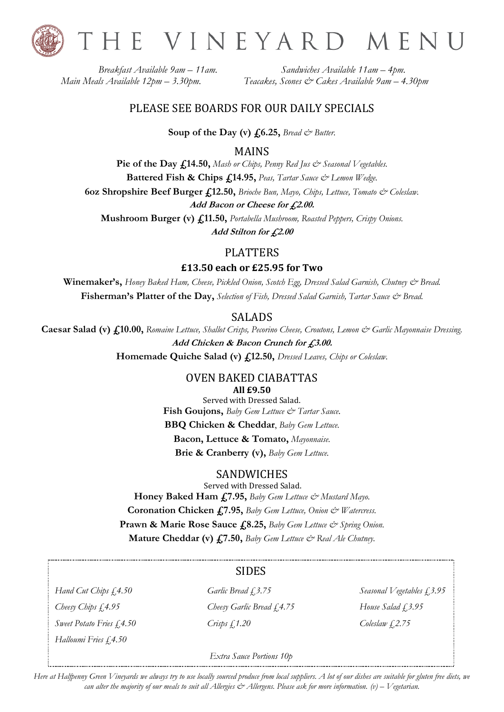

THE VINEYARD MENU

*Breakfast Available 9am – 11am. Sandwiches Available 11am – 4pm. Main Meals Available 12pm – 3.30pm. Teacakes, Scones & Cakes Available 9am – 4.30pm*

### PLEASE SEE BOARDS FOR OUR DAILY SPECIALS

**Soup of the Day (v)**  $f_0$ **6.25,** *Bread*  $\&$  *Butter.* 

MAINS

Pie of the Day  $f<sub>1</sub>14.50$ , *Mash or Chips*, *Penny Red Jus & Seasonal Vegetables.* **Battered Fish & Chips £14.95,** *Peas, Tartar Sauce & Lemon Wedge.* **6oz Shropshire Beef Burger £12.50,** *Brioche Bun, Mayo, Chips, Lettuce, Tomato & Coleslaw.* **Add Bacon or Cheese for £2.00.**

**Mushroom Burger (v) £11.50,** *Portabella Mushroom, Roasted Peppers, Crispy Onions.* **Add Stilton for £2.00**

### PLATTERS

**£13.50 each or £25.95 for Two**

**Winemaker's,** *Honey Baked Ham, Cheese, Pickled Onion, Scotch Egg, Dressed Salad Garnish, Chutney & Bread.* **Fisherman's Platter of the Day,** *Selection of Fish, Dressed Salad Garnish, Tartar Sauce & Bread.*

### SALADS

**Caesar Salad (v) £10.00,** *Romaine Lettuce, Shallot Crisps, Pecorino Cheese, Croutons, Lemon & Garlic Mayonnaise Dressing.* **Add Chicken & Bacon Crunch for £3.00. Homemade Quiche Salad (v) £12.50,** *Dressed Leaves, Chips or Coleslaw.*

### OVEN BAKED CIABATTAS **All £9.50**

Served with Dressed Salad. **Fish Goujons,** *Baby Gem Lettuce & Tartar Sauce*. **BBQ Chicken & Cheddar**, *Baby Gem Lettuce.* **Bacon, Lettuce & Tomato,** *Mayonnaise.* **Brie & Cranberry (v),** *Baby Gem Lettuce.*

### SANDWICHES

Served with Dressed Salad. **Honey Baked Ham £7.95,** *Baby Gem Lettuce & Mustard Mayo.* **Coronation Chicken £7.95,** *Baby Gem Lettuce, Onion & Watercress.* **Prawn & Marie Rose Sauce £8.25,** *Baby Gem Lettuce & Spring Onion.* **Mature Cheddar (v) £7.50,** *Baby Gem Lettuce*  $\breve{c}$ *<sup>\*</sup> Real Ale Chutney.* 

## SIDES

*Halloumi Fries £4.50*

*Cheesy Chips £4.95 Cheesy Garlic Bread £4.75 House Salad £3.95 Sweet Potato Fries £4.50 Crisps £1.20 Coleslaw £2.75*

*Hand Cut Chips £4.50 Garlic Bread £3.75 Seasonal Vegetables £3.95*

### *Extra Sauce Portions 10p*

*Here at Halfpenny Green Vineyards we always try to use locally sourced produce from local suppliers. A lot of our dishes are suitable for gluten free diets, we can alter the majority of our meals to suit all Allergies & Allergens. Please ask for more information. (v) – Vegetarian.*